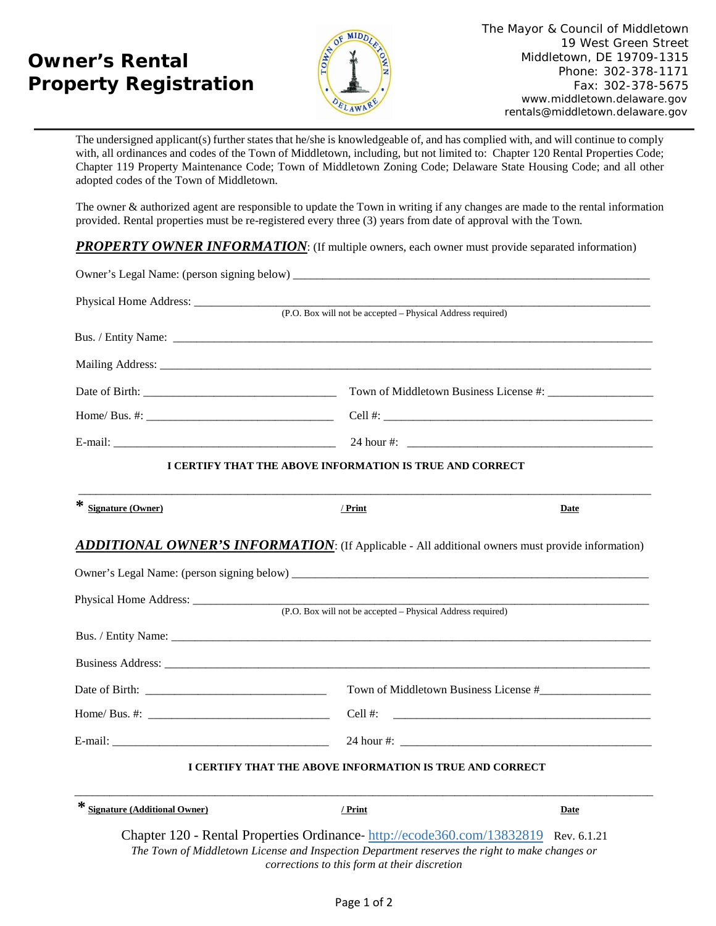## **Owner's Rental Property Registration**



The undersigned applicant(s) further states that he/she is knowledgeable of, and has complied with, and will continue to comply with, all ordinances and codes of the Town of Middletown, including, but not limited to: Chapter 120 Rental Properties Code; Chapter 119 Property Maintenance Code; Town of Middletown Zoning Code; Delaware State Housing Code; and all other adopted codes of the Town of Middletown.

The owner & authorized agent are responsible to update the Town in writing if any changes are made to the rental information provided. Rental properties must be re-registered every three (3) years from date of approval with the Town*.*

**PROPERTY OWNER INFORMATION:** (If multiple owners, each owner must provide separated information)

|                                                                                                         | (P.O. Box will not be accepted – Physical Address required) |                                       |
|---------------------------------------------------------------------------------------------------------|-------------------------------------------------------------|---------------------------------------|
|                                                                                                         |                                                             |                                       |
|                                                                                                         |                                                             |                                       |
|                                                                                                         |                                                             |                                       |
|                                                                                                         |                                                             |                                       |
|                                                                                                         |                                                             |                                       |
|                                                                                                         | I CERTIFY THAT THE ABOVE INFORMATION IS TRUE AND CORRECT    |                                       |
| * Signature (Owner)                                                                                     | / Print                                                     | Date                                  |
|                                                                                                         |                                                             |                                       |
| <b>ADDITIONAL OWNER'S INFORMATION:</b> (If Applicable - All additional owners must provide information) |                                                             |                                       |
|                                                                                                         |                                                             |                                       |
|                                                                                                         |                                                             |                                       |
|                                                                                                         |                                                             |                                       |
|                                                                                                         |                                                             | Town of Middletown Business License # |
|                                                                                                         |                                                             | Cell #:                               |
|                                                                                                         |                                                             |                                       |
|                                                                                                         | I CERTIFY THAT THE ABOVE INFORMATION IS TRUE AND CORRECT    |                                       |
| * Signature (Additional Owner)                                                                          | / Print                                                     | Date                                  |